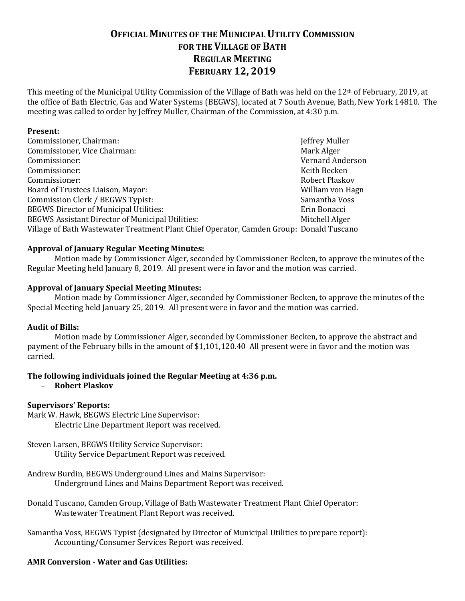# **OFFICIAL MINUTES OF THE MUNICIPAL UTILITY COMMISSION FOR THE VILLAGE OF BATH REGULAR MEETING FEBRUARY 12, 2019**

This meeting of the Municipal Utility Commission of the Village of Bath was held on the 12th of February, 2019, at the office of Bath Electric, Gas and Water Systems (BEGWS), located at 7 South Avenue, Bath, New York 14810. The meeting was called to order by Jeffrey Muller, Chairman of the Commission, at 4:30 p.m.

### **Present:**

| Commissioner, Chairman:                                                                 | Jeffrey Muller          |
|-----------------------------------------------------------------------------------------|-------------------------|
| Commissioner, Vice Chairman:                                                            | Mark Alger              |
| Commissioner:                                                                           | <b>Vernard Anderson</b> |
| Commissioner:                                                                           | Keith Becken            |
| Commissioner:                                                                           | Robert Plaskov          |
| Board of Trustees Liaison, Mayor:                                                       | William von Hagn        |
| Commission Clerk / BEGWS Typist:                                                        | Samantha Voss           |
| <b>BEGWS Director of Municipal Utilities:</b>                                           | Erin Bonacci            |
| <b>BEGWS Assistant Director of Municipal Utilities:</b>                                 | Mitchell Alger          |
| Village of Bath Wastewater Treatment Plant Chief Operator, Camden Group: Donald Tuscano |                         |

### **Approval of January Regular Meeting Minutes:**

Motion made by Commissioner Alger, seconded by Commissioner Becken, to approve the minutes of the Regular Meeting held January 8, 2019. All present were in favor and the motion was carried.

### **Approval of January Special Meeting Minutes:**

Motion made by Commissioner Alger, seconded by Commissioner Becken, to approve the minutes of the Special Meeting held January 25, 2019. All present were in favor and the motion was carried.

#### **Audit of Bills:**

Motion made by Commissioner Alger, seconded by Commissioner Becken, to approve the abstract and payment of the February bills in the amount of \$1,101,120.40 All present were in favor and the motion was carried.

# **The following individuals joined the Regular Meeting at 4:36 p.m.**

– **Robert Plaskov**

#### **Supervisors' Reports:**

Mark W. Hawk, BEGWS Electric Line Supervisor: Electric Line Department Report was received.

Steven Larsen, BEGWS Utility Service Supervisor: Utility Service Department Report was received.

- Andrew Burdin, BEGWS Underground Lines and Mains Supervisor: Underground Lines and Mains Department Report was received.
- Donald Tuscano, Camden Group, Village of Bath Wastewater Treatment Plant Chief Operator: Wastewater Treatment Plant Report was received.
- Samantha Voss, BEGWS Typist (designated by Director of Municipal Utilities to prepare report): Accounting/Consumer Services Report was received.

# **AMR Conversion - Water and Gas Utilities:**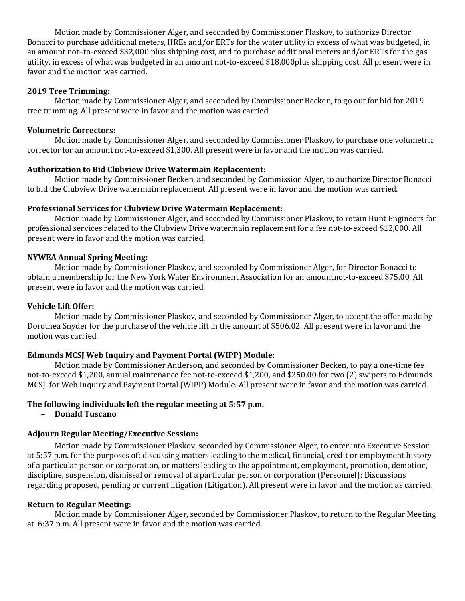Motion made by Commissioner Alger, and seconded by Commissioner Plaskov, to authorize Director Bonacci to purchase additional meters, HREs and/or ERTs for the water utility in excess of what was budgeted, in an amount not–to-exceed \$32,000 plus shipping cost, and to purchase additional meters and/or ERTs for the gas utility, in excess of what was budgeted in an amount not-to-exceed \$18,000plus shipping cost. All present were in favor and the motion was carried.

### **2019 Tree Trimming:**

Motion made by Commissioner Alger, and seconded by Commissioner Becken, to go out for bid for 2019 tree trimming. All present were in favor and the motion was carried.

### **Volumetric Correctors:**

Motion made by Commissioner Alger, and seconded by Commissioner Plaskov, to purchase one volumetric corrector for an amount not-to-exceed \$1,300. All present were in favor and the motion was carried.

### **Authorization to Bid Clubview Drive Watermain Replacement:**

Motion made by Commissioner Becken, and seconded by Commission Alger, to authorize Director Bonacci to bid the Clubview Drive watermain replacement. All present were in favor and the motion was carried.

### **Professional Services for Clubview Drive Watermain Replacement:**

Motion made by Commissioner Alger, and seconded by Commissioner Plaskov, to retain Hunt Engineers for professional services related to the Clubview Drive watermain replacement for a fee not-to-exceed \$12,000. All present were in favor and the motion was carried.

### **NYWEA Annual Spring Meeting:**

Motion made by Commissioner Plaskov, and seconded by Commissioner Alger, for Director Bonacci to obtain a membership for the New York Water Environment Association for an amountnot-to-exceed \$75.00. All present were in favor and the motion was carried.

#### **Vehicle Lift Offer:**

Motion made by Commissioner Plaskov, and seconded by Commissioner Alger, to accept the offer made by Dorothea Snyder for the purchase of the vehicle lift in the amount of \$506.02. All present were in favor and the motion was carried.

# **Edmunds MCSJ Web Inquiry and Payment Portal (WIPP) Module:**

Motion made by Commissioner Anderson, and seconded by Commissioner Becken, to pay a one-time fee not-to-exceed \$1,200, annual maintenance fee not-to-exceed \$1,200, and \$250.00 for two (2) swipers to Edmunds MCSJ for Web Inquiry and Payment Portal (WIPP) Module. All present were in favor and the motion was carried.

#### **The following individuals left the regular meeting at 5:57 p.m.**

#### – **Donald Tuscano**

# **Adjourn Regular Meeting/Executive Session:**

Motion made by Commissioner Plaskov, seconded by Commissioner Alger, to enter into Executive Session at 5:57 p.m. for the purposes of: discussing matters leading to the medical, financial, credit or employment history of a particular person or corporation, or matters leading to the appointment, employment, promotion, demotion, discipline, suspension, dismissal or removal of a particular person or corporation (Personnel); Discussions regarding proposed, pending or current litigation (Litigation). All present were in favor and the motion as carried.

# **Return to Regular Meeting:**

Motion made by Commissioner Alger, seconded by Commissioner Plaskov, to return to the Regular Meeting at 6:37 p.m. All present were in favor and the motion was carried.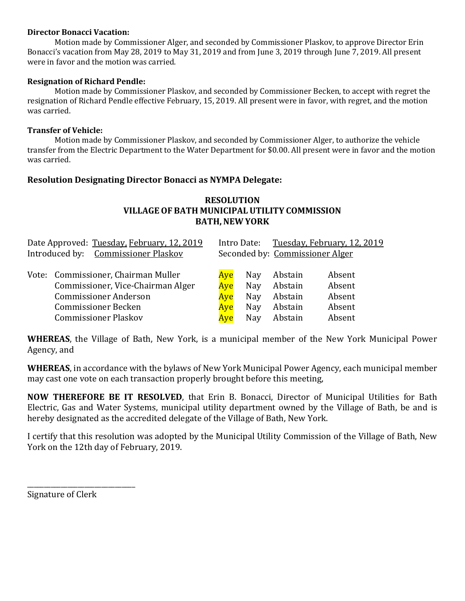### **Director Bonacci Vacation:**

Motion made by Commissioner Alger, and seconded by Commissioner Plaskov, to approve Director Erin Bonacci's vacation from May 28, 2019 to May 31, 2019 and from June 3, 2019 through June 7, 2019. All present were in favor and the motion was carried.

## **Resignation of Richard Pendle:**

Motion made by Commissioner Plaskov, and seconded by Commissioner Becken, to accept with regret the resignation of Richard Pendle effective February, 15, 2019. All present were in favor, with regret, and the motion was carried.

### **Transfer of Vehicle:**

Motion made by Commissioner Plaskov, and seconded by Commissioner Alger, to authorize the vehicle transfer from the Electric Department to the Water Department for \$0.00. All present were in favor and the motion was carried.

# **Resolution Designating Director Bonacci as NYMPA Delegate:**

# **RESOLUTION VILLAGE OF BATH MUNICIPALUTILITY COMMISSION BATH, NEW YORK**

| Date Approved: Tuesday, February, 12, 2019 |                                     | Intro Date:                     |     | <u>Tuesday, February, 12, 2019</u> |        |
|--------------------------------------------|-------------------------------------|---------------------------------|-----|------------------------------------|--------|
| Introduced by: Commissioner Plaskov        |                                     | Seconded by: Commissioner Alger |     |                                    |        |
|                                            |                                     |                                 |     |                                    |        |
|                                            | Vote: Commissioner, Chairman Muller | Aye                             | Nay | Abstain                            | Absent |
|                                            | Commissioner, Vice-Chairman Alger   | Aye                             | Nay | Abstain                            | Absent |
|                                            | <b>Commissioner Anderson</b>        | Ave                             | Nay | Abstain                            | Absent |
|                                            | <b>Commissioner Becken</b>          | Ave                             | Nay | Abstain                            | Absent |
|                                            | <b>Commissioner Plaskov</b>         | Ave                             | Nay | Abstain                            | Absent |

**WHEREAS**, the Village of Bath, New York, is a municipal member of the New York Municipal Power Agency, and

**WHEREAS**, in accordance with the bylaws of New York Municipal Power Agency, each municipal member may cast one vote on each transaction properly brought before this meeting,

**NOW THEREFORE BE IT RESOLVED**, that Erin B. Bonacci, Director of Municipal Utilities for Bath Electric, Gas and Water Systems, municipal utility department owned by the Village of Bath, be and is hereby designated as the accredited delegate of the Village of Bath, New York.

I certify that this resolution was adopted by the Municipal Utility Commission of the Village of Bath, New York on the 12th day of February, 2019.

Signature of Clerk

\_\_\_\_\_\_\_\_\_\_\_\_\_\_\_\_\_\_\_\_\_\_\_\_\_\_\_\_\_\_\_\_